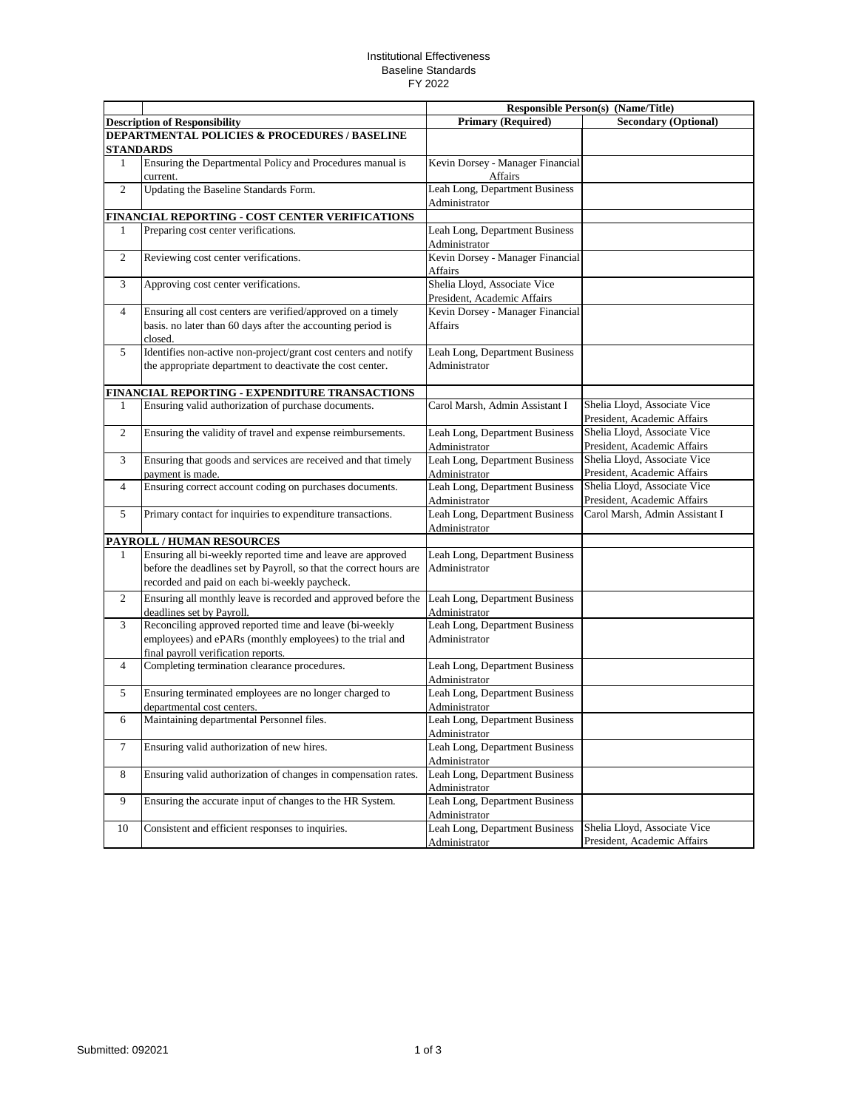## Institutional Effectiveness Baseline Standards FY 2022

|                |                                                                    | <b>Responsible Person(s) (Name/Title)</b> |                                |
|----------------|--------------------------------------------------------------------|-------------------------------------------|--------------------------------|
|                | <b>Description of Responsibility</b>                               | <b>Primary (Required)</b>                 | <b>Secondary (Optional)</b>    |
|                | <b>DEPARTMENTAL POLICIES &amp; PROCEDURES / BASELINE</b>           |                                           |                                |
|                | STANDARDS                                                          |                                           |                                |
| 1              | Ensuring the Departmental Policy and Procedures manual is          | Kevin Dorsey - Manager Financial          |                                |
|                | current.                                                           | Affairs                                   |                                |
| $\overline{2}$ | Updating the Baseline Standards Form.                              | Leah Long, Department Business            |                                |
|                |                                                                    | Administrator                             |                                |
|                | FINANCIAL REPORTING - COST CENTER VERIFICATIONS                    |                                           |                                |
| $\mathbf{1}$   | Preparing cost center verifications.                               | Leah Long, Department Business            |                                |
|                |                                                                    | Administrator                             |                                |
| $\overline{c}$ | Reviewing cost center verifications.                               | Kevin Dorsey - Manager Financial          |                                |
|                |                                                                    | Affairs                                   |                                |
| 3              | Approving cost center verifications.                               | Shelia Lloyd, Associate Vice              |                                |
|                |                                                                    | President, Academic Affairs               |                                |
| $\overline{4}$ | Ensuring all cost centers are verified/approved on a timely        | Kevin Dorsey - Manager Financial          |                                |
|                | basis. no later than 60 days after the accounting period is        | Affairs                                   |                                |
|                | closed.                                                            |                                           |                                |
| 5              | Identifies non-active non-project/grant cost centers and notify    | Leah Long, Department Business            |                                |
|                | the appropriate department to deactivate the cost center.          | Administrator                             |                                |
|                |                                                                    |                                           |                                |
|                | FINANCIAL REPORTING - EXPENDITURE TRANSACTIONS                     |                                           |                                |
| 1              | Ensuring valid authorization of purchase documents.                | Carol Marsh, Admin Assistant I            | Shelia Lloyd, Associate Vice   |
|                |                                                                    |                                           | President, Academic Affairs    |
| $\overline{c}$ | Ensuring the validity of travel and expense reimbursements.        | Leah Long, Department Business            | Shelia Lloyd, Associate Vice   |
|                |                                                                    | Administrator                             | President, Academic Affairs    |
| 3              | Ensuring that goods and services are received and that timely      | Leah Long, Department Business            | Shelia Lloyd, Associate Vice   |
|                | payment is made.                                                   | Administrator                             | President, Academic Affairs    |
| $\overline{4}$ | Ensuring correct account coding on purchases documents.            | Leah Long, Department Business            | Shelia Lloyd, Associate Vice   |
|                |                                                                    | Administrator                             | President, Academic Affairs    |
| 5              | Primary contact for inquiries to expenditure transactions.         | Leah Long, Department Business            | Carol Marsh, Admin Assistant I |
|                |                                                                    | Administrator                             |                                |
|                | PAYROLL / HUMAN RESOURCES                                          |                                           |                                |
| 1              | Ensuring all bi-weekly reported time and leave are approved        | Leah Long, Department Business            |                                |
|                | before the deadlines set by Payroll, so that the correct hours are | Administrator                             |                                |
|                | recorded and paid on each bi-weekly paycheck.                      |                                           |                                |
| 2              | Ensuring all monthly leave is recorded and approved before the     | Leah Long, Department Business            |                                |
|                | deadlines set by Payroll.                                          | Administrator                             |                                |
| 3              | Reconciling approved reported time and leave (bi-weekly            | Leah Long, Department Business            |                                |
|                | employees) and ePARs (monthly employees) to the trial and          | Administrator                             |                                |
|                | final payroll verification reports.                                |                                           |                                |
| 4              | Completing termination clearance procedures.                       | Leah Long, Department Business            |                                |
|                |                                                                    | Administrator                             |                                |
| 5              | Ensuring terminated employees are no longer charged to             | Leah Long, Department Business            |                                |
|                | departmental cost centers.                                         | Administrator                             |                                |
| 6              | Maintaining departmental Personnel files.                          | Leah Long, Department Business            |                                |
|                |                                                                    | Administrator                             |                                |
| $\tau$         | Ensuring valid authorization of new hires.                         | Leah Long, Department Business            |                                |
|                |                                                                    | Administrator                             |                                |
| 8              | Ensuring valid authorization of changes in compensation rates.     | Leah Long, Department Business            |                                |
|                |                                                                    | Administrator                             |                                |
| 9              | Ensuring the accurate input of changes to the HR System.           | Leah Long, Department Business            |                                |
|                |                                                                    | Administrator                             |                                |
| 10             | Consistent and efficient responses to inquiries.                   | Leah Long, Department Business            | Shelia Lloyd, Associate Vice   |
|                |                                                                    | Administrator                             | President, Academic Affairs    |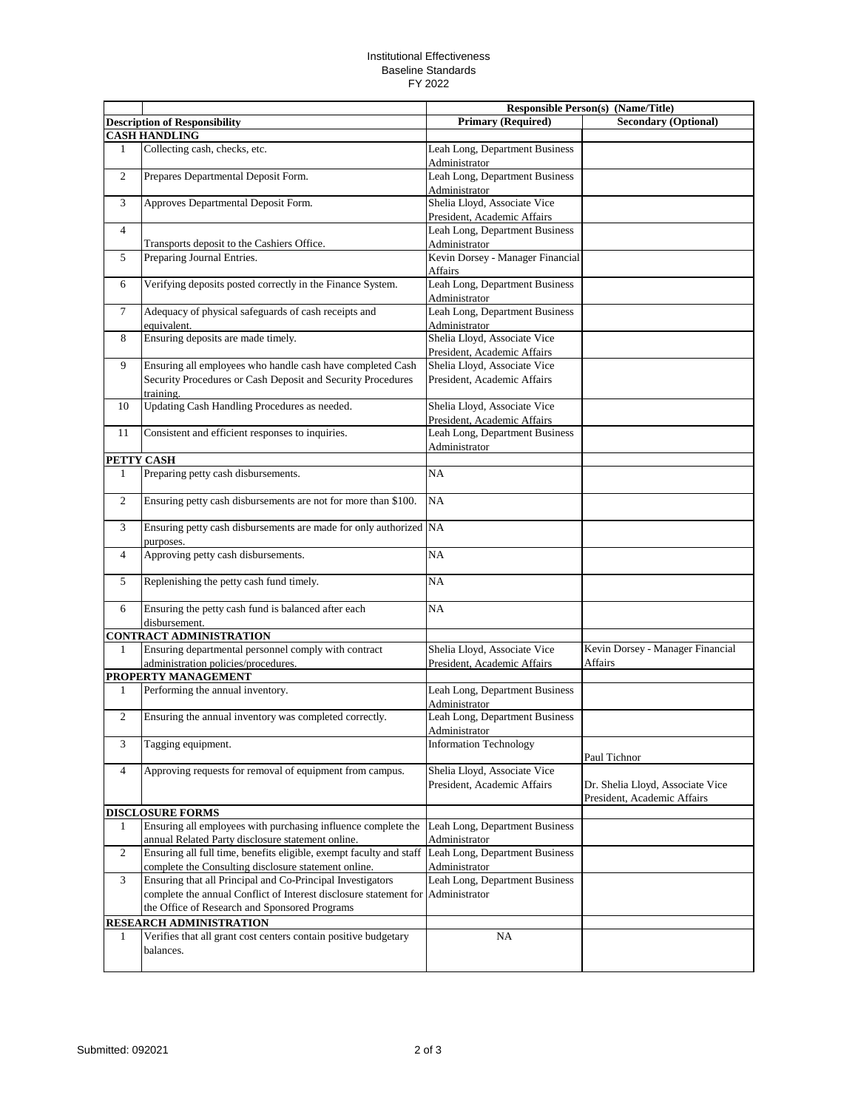## Institutional Effectiveness Baseline Standards FY 2022

|                |                                                                                                                                        |                                                             | Responsible Person(s) (Name/Title)                              |
|----------------|----------------------------------------------------------------------------------------------------------------------------------------|-------------------------------------------------------------|-----------------------------------------------------------------|
|                | <b>Description of Responsibility</b>                                                                                                   | <b>Primary (Required)</b>                                   | <b>Secondary (Optional)</b>                                     |
|                | <b>CASH HANDLING</b>                                                                                                                   |                                                             |                                                                 |
| $\mathbf{1}$   | Collecting cash, checks, etc.                                                                                                          | Leah Long, Department Business<br>Administrator             |                                                                 |
| $\overline{c}$ | Prepares Departmental Deposit Form.                                                                                                    | Leah Long, Department Business<br>Administrator             |                                                                 |
| 3              | Approves Departmental Deposit Form.                                                                                                    | Shelia Lloyd, Associate Vice<br>President, Academic Affairs |                                                                 |
| $\overline{4}$ |                                                                                                                                        | Leah Long, Department Business                              |                                                                 |
|                | Transports deposit to the Cashiers Office.                                                                                             | Administrator                                               |                                                                 |
| 5              | Preparing Journal Entries.                                                                                                             | Kevin Dorsey - Manager Financial<br><b>Affairs</b>          |                                                                 |
| 6              | Verifying deposits posted correctly in the Finance System.                                                                             | Leah Long, Department Business<br>Administrator             |                                                                 |
| $\overline{7}$ | Adequacy of physical safeguards of cash receipts and<br>equivalent.                                                                    | Leah Long, Department Business<br>Administrator             |                                                                 |
| 8              | Ensuring deposits are made timely.                                                                                                     | Shelia Lloyd, Associate Vice                                |                                                                 |
|                |                                                                                                                                        | President, Academic Affairs                                 |                                                                 |
| 9              | Ensuring all employees who handle cash have completed Cash<br>Security Procedures or Cash Deposit and Security Procedures<br>training. | Shelia Lloyd, Associate Vice<br>President, Academic Affairs |                                                                 |
| 10             | Updating Cash Handling Procedures as needed.                                                                                           | Shelia Lloyd, Associate Vice                                |                                                                 |
|                | Consistent and efficient responses to inquiries.                                                                                       | President, Academic Affairs                                 |                                                                 |
| 11             |                                                                                                                                        | Leah Long, Department Business<br>Administrator             |                                                                 |
|                | PETTY CASH                                                                                                                             |                                                             |                                                                 |
| 1              | Preparing petty cash disbursements.                                                                                                    | NA                                                          |                                                                 |
| $\overline{c}$ | Ensuring petty cash disbursements are not for more than \$100.                                                                         | NA                                                          |                                                                 |
| 3              | Ensuring petty cash disbursements are made for only authorized NA<br>purposes.                                                         |                                                             |                                                                 |
| $\overline{4}$ | Approving petty cash disbursements.                                                                                                    | <b>NA</b>                                                   |                                                                 |
| 5              | Replenishing the petty cash fund timely.                                                                                               | NA                                                          |                                                                 |
| 6              | Ensuring the petty cash fund is balanced after each<br>disbursement.                                                                   | NA                                                          |                                                                 |
|                | <b>CONTRACT ADMINISTRATION</b>                                                                                                         |                                                             |                                                                 |
| 1              | Ensuring departmental personnel comply with contract                                                                                   | Shelia Lloyd, Associate Vice                                | Kevin Dorsey - Manager Financial                                |
|                | administration policies/procedures.                                                                                                    | President, Academic Affairs                                 | Affairs                                                         |
|                | <b>PROPERTY MANAGEMENT</b>                                                                                                             |                                                             |                                                                 |
| 1              | Performing the annual inventory.                                                                                                       | Leah Long, Department Business<br>Administrator             |                                                                 |
| $\overline{c}$ | Ensuring the annual inventory was completed correctly.                                                                                 | Leah Long, Department Business<br>Administrator             |                                                                 |
| 3              | Tagging equipment.                                                                                                                     | <b>Information Technology</b>                               | Paul Tichnor                                                    |
| $\overline{4}$ | Approving requests for removal of equipment from campus.                                                                               | Shelia Lloyd, Associate Vice<br>President, Academic Affairs | Dr. Shelia Lloyd, Associate Vice<br>President, Academic Affairs |
|                | <b>DISCLOSURE FORMS</b>                                                                                                                |                                                             |                                                                 |
| 1              | Ensuring all employees with purchasing influence complete the<br>annual Related Party disclosure statement online.                     | Leah Long, Department Business<br>Administrator             |                                                                 |
| $\overline{c}$ | Ensuring all full time, benefits eligible, exempt faculty and staff<br>complete the Consulting disclosure statement online.            | Leah Long, Department Business<br>Administrator             |                                                                 |
| 3              | Ensuring that all Principal and Co-Principal Investigators                                                                             | Leah Long, Department Business                              |                                                                 |
|                | complete the annual Conflict of Interest disclosure statement for<br>the Office of Research and Sponsored Programs                     | Administrator                                               |                                                                 |
|                | <b>RESEARCH ADMINISTRATION</b>                                                                                                         |                                                             |                                                                 |
| 1              | Verifies that all grant cost centers contain positive budgetary<br>balances.                                                           | NA                                                          |                                                                 |
|                |                                                                                                                                        |                                                             |                                                                 |